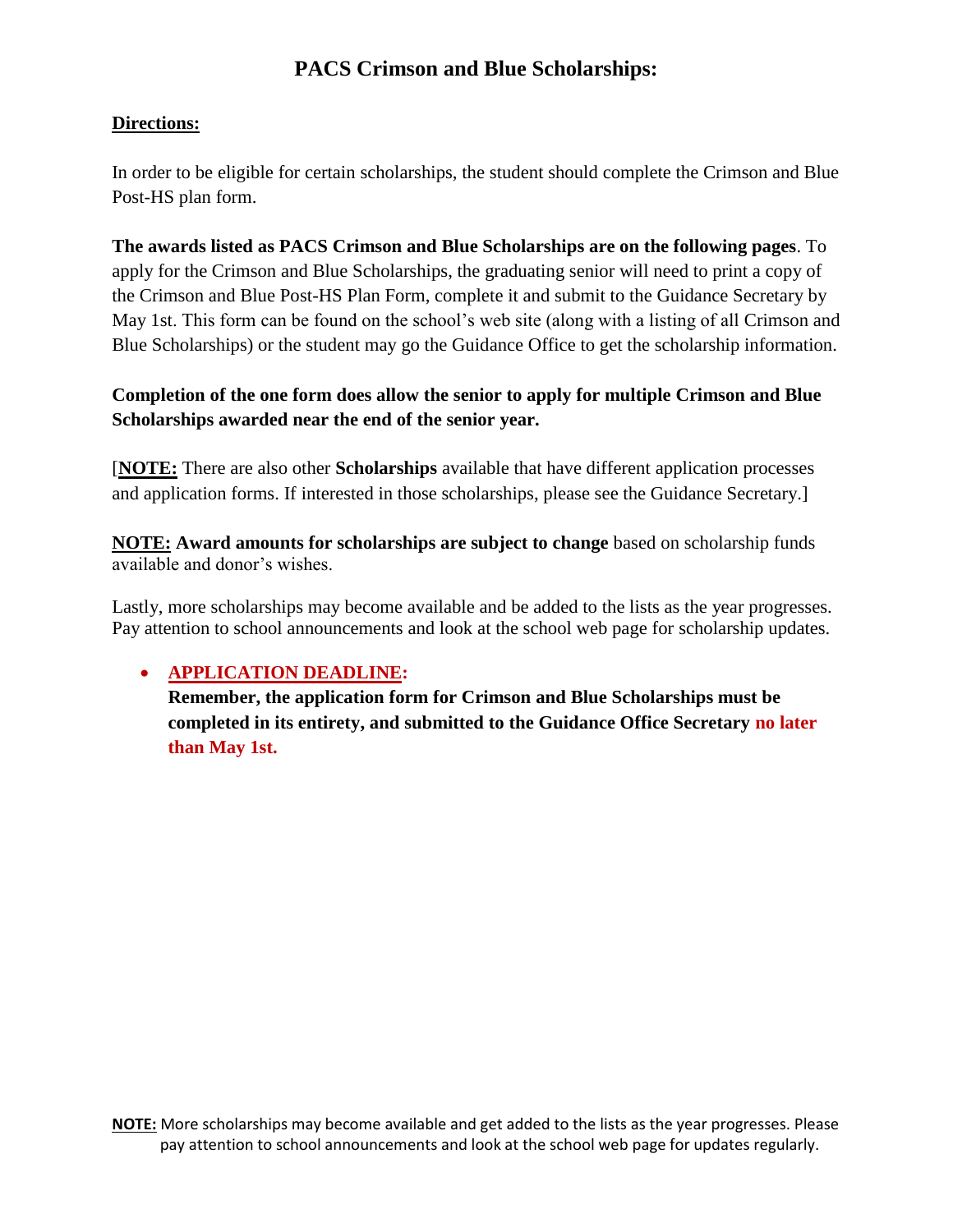# **Directions:**

In order to be eligible for certain scholarships, the student should complete the Crimson and Blue Post-HS plan form.

**The awards listed as PACS Crimson and Blue Scholarships are on the following pages**. To apply for the Crimson and Blue Scholarships, the graduating senior will need to print a copy of the Crimson and Blue Post-HS Plan Form, complete it and submit to the Guidance Secretary by May 1st. This form can be found on the school's web site (along with a listing of all Crimson and Blue Scholarships) or the student may go the Guidance Office to get the scholarship information.

# **Completion of the one form does allow the senior to apply for multiple Crimson and Blue Scholarships awarded near the end of the senior year.**

[**NOTE:** There are also other **Scholarships** available that have different application processes and application forms. If interested in those scholarships, please see the Guidance Secretary.]

**NOTE: Award amounts for scholarships are subject to change** based on scholarship funds available and donor's wishes.

Lastly, more scholarships may become available and be added to the lists as the year progresses. Pay attention to school announcements and look at the school web page for scholarship updates.

# **APPLICATION DEADLINE:**

**Remember, the application form for Crimson and Blue Scholarships must be completed in its entirety, and submitted to the Guidance Office Secretary no later than May 1st.**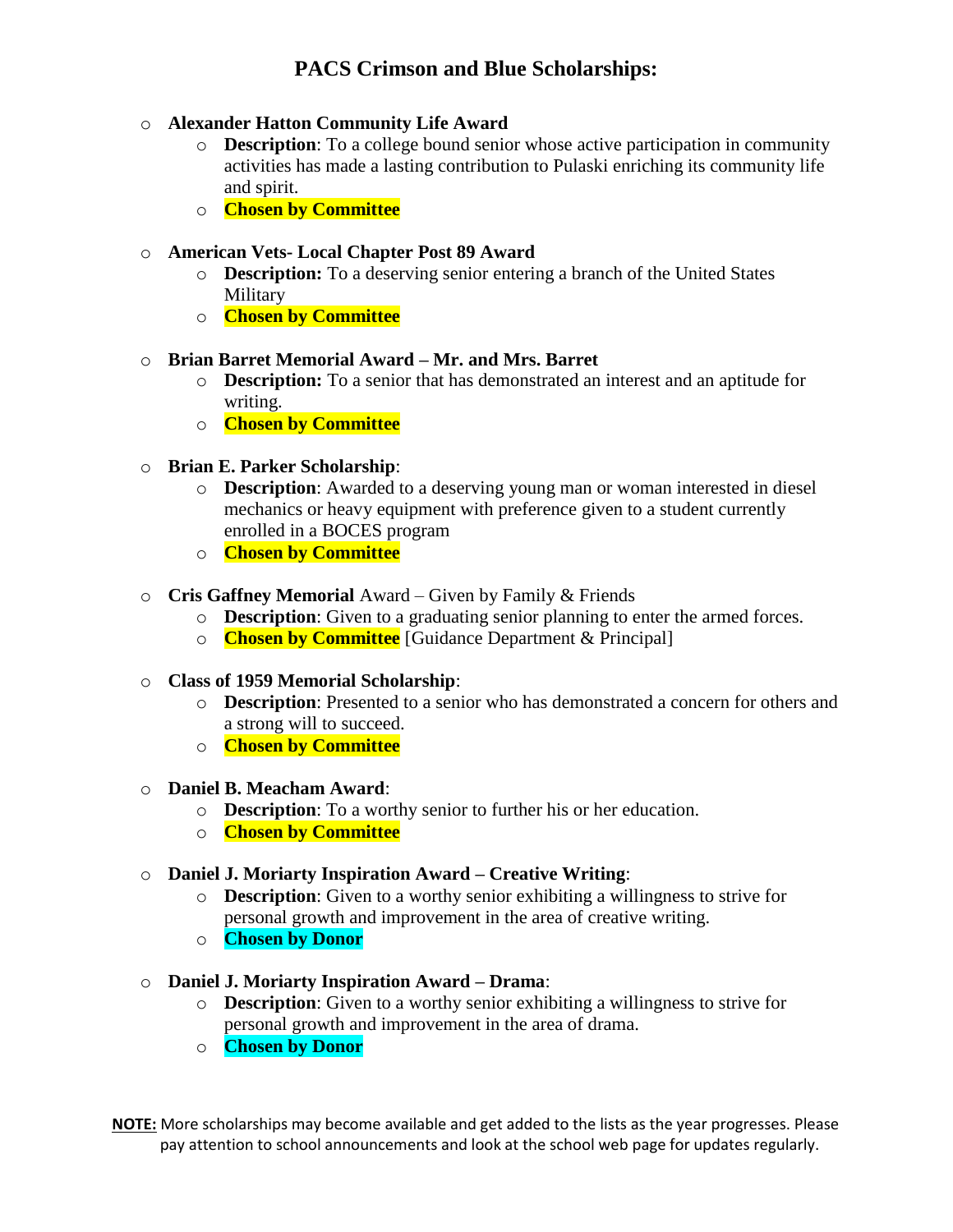## o **Alexander Hatton Community Life Award**

- o **Description**: To a college bound senior whose active participation in community activities has made a lasting contribution to Pulaski enriching its community life and spirit.
- o **Chosen by Committee**

### o **American Vets- Local Chapter Post 89 Award**

- o **Description:** To a deserving senior entering a branch of the United States **Military**
- o **Chosen by Committee**

#### o **Brian Barret Memorial Award – Mr. and Mrs. Barret**

- o **Description:** To a senior that has demonstrated an interest and an aptitude for writing.
- o **Chosen by Committee**
- o **Brian E. Parker Scholarship**:
	- o **Description**: Awarded to a deserving young man or woman interested in diesel mechanics or heavy equipment with preference given to a student currently enrolled in a BOCES program
	- o **Chosen by Committee**
- o **Cris Gaffney Memorial** Award Given by Family & Friends
	- o **Description**: Given to a graduating senior planning to enter the armed forces.
	- o **Chosen by Committee** [Guidance Department & Principal]

#### o **Class of 1959 Memorial Scholarship**:

- o **Description**: Presented to a senior who has demonstrated a concern for others and a strong will to succeed.
- o **Chosen by Committee**

#### o **Daniel B. Meacham Award**:

- o **Description**: To a worthy senior to further his or her education.
- o **Chosen by Committee**

#### o **Daniel J. Moriarty Inspiration Award – Creative Writing**:

- o **Description**: Given to a worthy senior exhibiting a willingness to strive for personal growth and improvement in the area of creative writing.
- o **Chosen by Donor**
- o **Daniel J. Moriarty Inspiration Award – Drama**:
	- o **Description**: Given to a worthy senior exhibiting a willingness to strive for personal growth and improvement in the area of drama.
	- o **Chosen by Donor**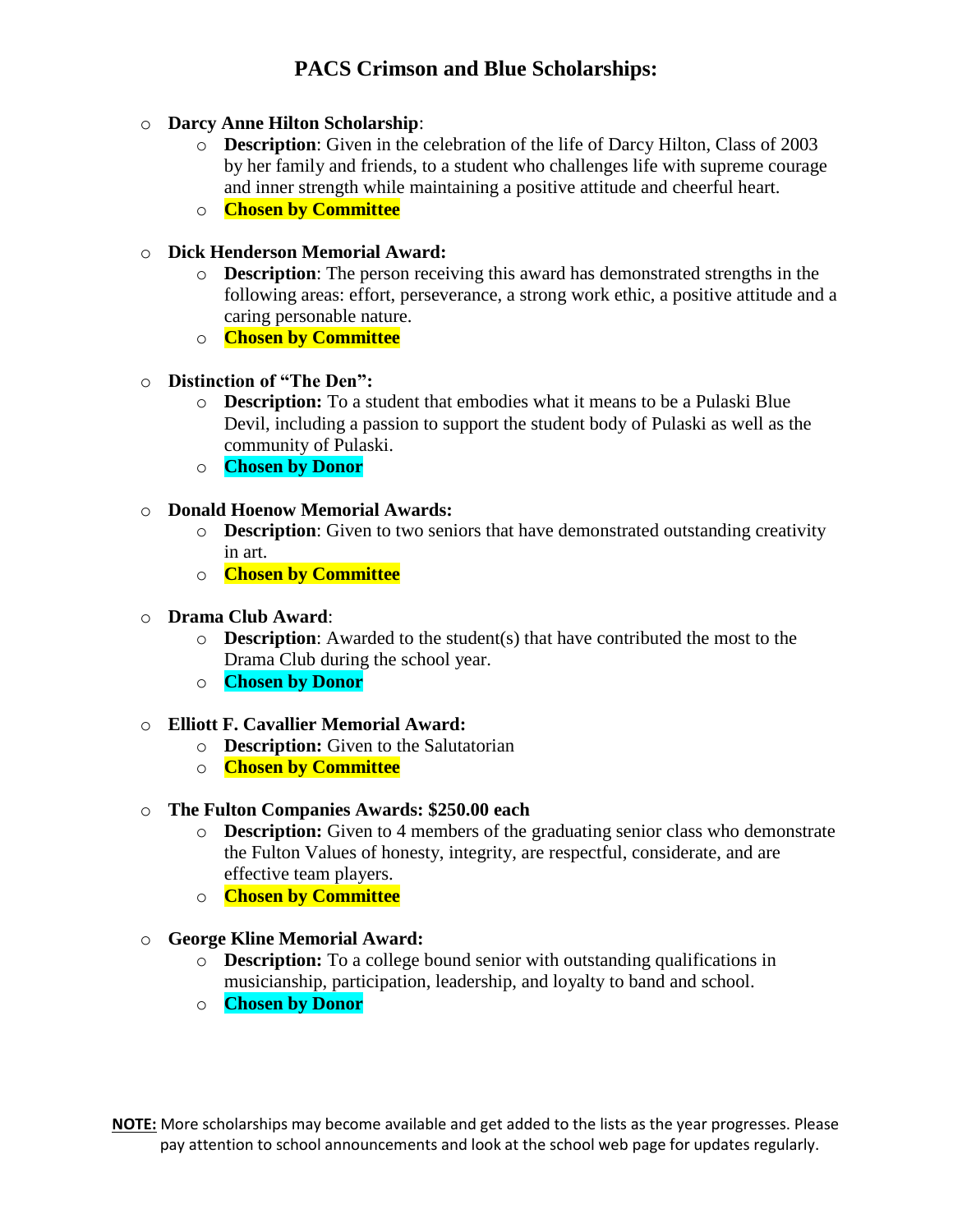## o **Darcy Anne Hilton Scholarship**:

- o **Description**: Given in the celebration of the life of Darcy Hilton, Class of 2003 by her family and friends, to a student who challenges life with supreme courage and inner strength while maintaining a positive attitude and cheerful heart.
- o **Chosen by Committee**

## o **Dick Henderson Memorial Award:**

- o **Description**: The person receiving this award has demonstrated strengths in the following areas: effort, perseverance, a strong work ethic, a positive attitude and a caring personable nature.
- o **Chosen by Committee**
- o **Distinction of "The Den":** 
	- o **Description:** To a student that embodies what it means to be a Pulaski Blue Devil, including a passion to support the student body of Pulaski as well as the community of Pulaski.
	- o **Chosen by Donor**

### o **Donald Hoenow Memorial Awards:**

- o **Description**: Given to two seniors that have demonstrated outstanding creativity in art.
- o **Chosen by Committee**

## o **Drama Club Award**:

- o **Description**: Awarded to the student(s) that have contributed the most to the Drama Club during the school year.
- o **Chosen by Donor**

#### o **Elliott F. Cavallier Memorial Award:**

- o **Description:** Given to the Salutatorian
- o **Chosen by Committee**

#### o **The Fulton Companies Awards: \$250.00 each**

- o **Description:** Given to 4 members of the graduating senior class who demonstrate the Fulton Values of honesty, integrity, are respectful, considerate, and are effective team players.
- o **Chosen by Committee**
- o **George Kline Memorial Award:** 
	- o **Description:** To a college bound senior with outstanding qualifications in musicianship, participation, leadership, and loyalty to band and school.
	- o **Chosen by Donor**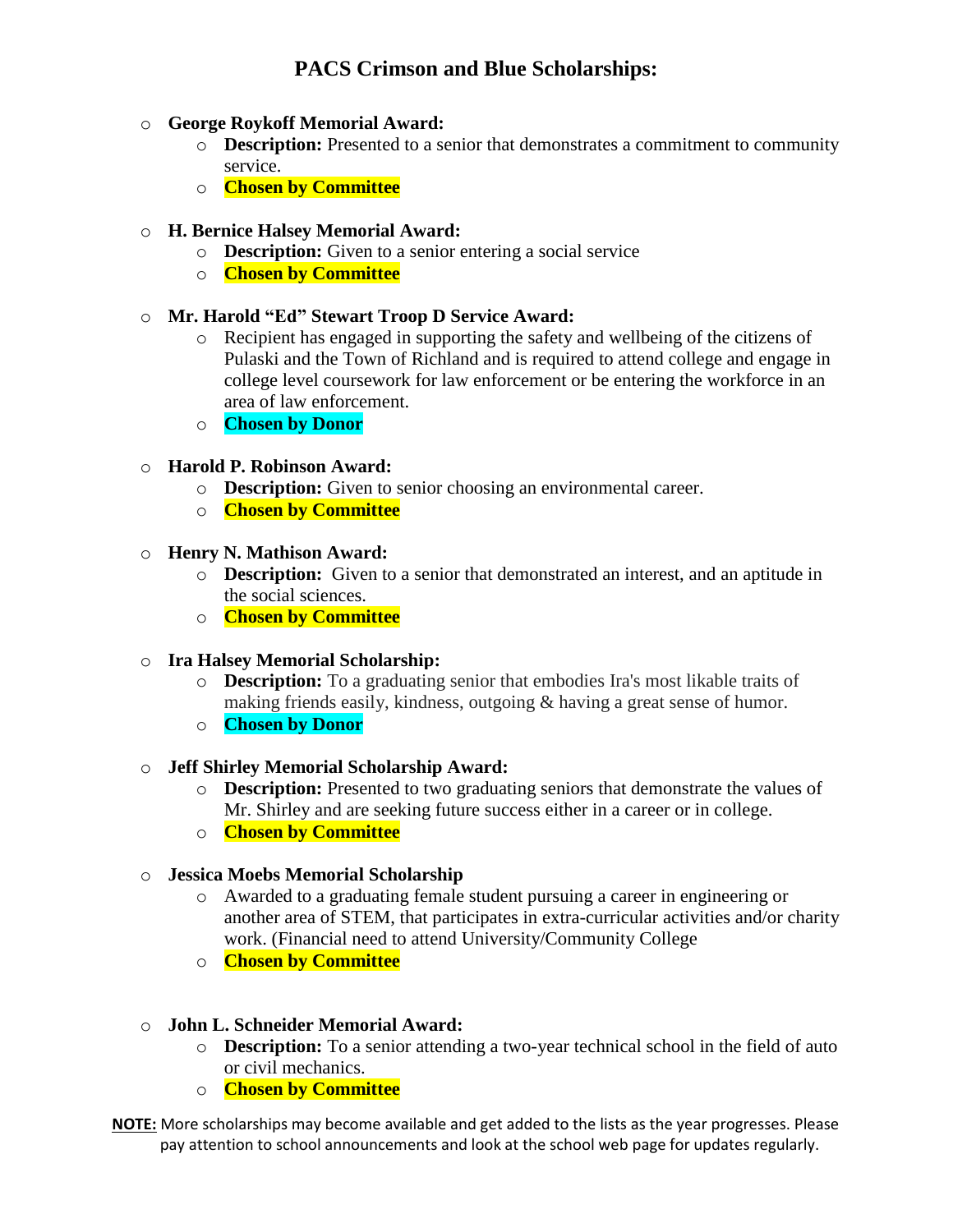## o **George Roykoff Memorial Award:**

- o **Description:** Presented to a senior that demonstrates a commitment to community service.
- o **Chosen by Committee**

## o **H. Bernice Halsey Memorial Award:**

- o **Description:** Given to a senior entering a social service
- o **Chosen by Committee**

## o **Mr. Harold "Ed" Stewart Troop D Service Award:**

- o Recipient has engaged in supporting the safety and wellbeing of the citizens of Pulaski and the Town of Richland and is required to attend college and engage in college level coursework for law enforcement or be entering the workforce in an area of law enforcement.
- o **Chosen by Donor**

## o **Harold P. Robinson Award:**

- o **Description:** Given to senior choosing an environmental career.
- o **Chosen by Committee**

## o **Henry N. Mathison Award:**

- o **Description:** Given to a senior that demonstrated an interest, and an aptitude in the social sciences.
- o **Chosen by Committee**

## o **Ira Halsey Memorial Scholarship:**

- o **Description:** To a graduating senior that embodies Ira's most likable traits of making friends easily, kindness, outgoing & having a great sense of humor.
- o **Chosen by Donor**

#### o **Jeff Shirley Memorial Scholarship Award:**

- o **Description:** Presented to two graduating seniors that demonstrate the values of Mr. Shirley and are seeking future success either in a career or in college.
- o **Chosen by Committee**

#### o **Jessica Moebs Memorial Scholarship**

- o Awarded to a graduating female student pursuing a career in engineering or another area of STEM, that participates in extra-curricular activities and/or charity work. (Financial need to attend University/Community College
- o **Chosen by Committee**

## o **John L. Schneider Memorial Award:**

- o **Description:** To a senior attending a two-year technical school in the field of auto or civil mechanics.
- o **Chosen by Committee**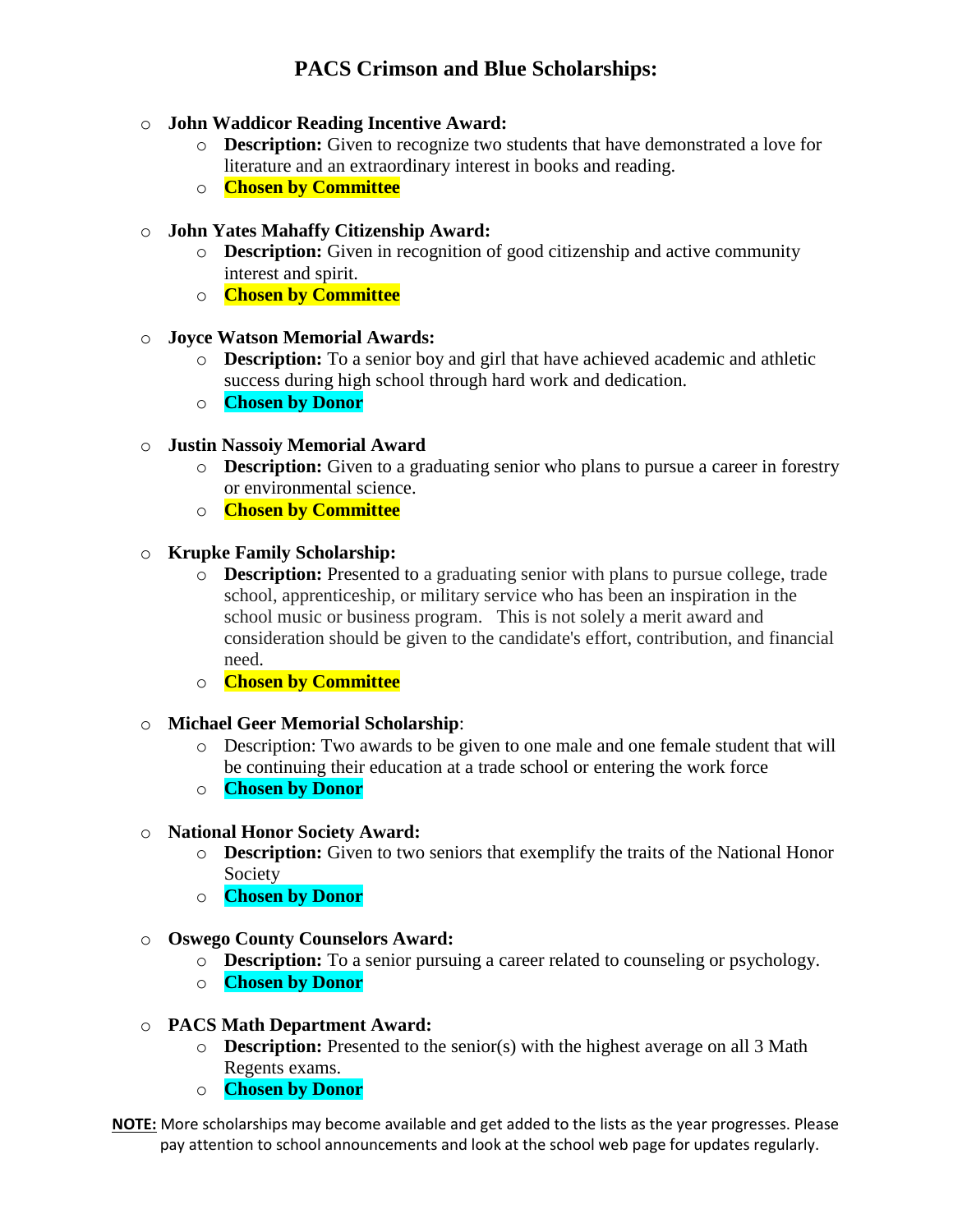## o **John Waddicor Reading Incentive Award:**

- o **Description:** Given to recognize two students that have demonstrated a love for literature and an extraordinary interest in books and reading.
- o **Chosen by Committee**

## o **John Yates Mahaffy Citizenship Award:**

- o **Description:** Given in recognition of good citizenship and active community interest and spirit.
- o **Chosen by Committee**

## o **Joyce Watson Memorial Awards:**

- o **Description:** To a senior boy and girl that have achieved academic and athletic success during high school through hard work and dedication.
- o **Chosen by Donor**

## o **Justin Nassoiy Memorial Award**

- o **Description:** Given to a graduating senior who plans to pursue a career in forestry or environmental science.
- o **Chosen by Committee**

## o **Krupke Family Scholarship:**

- o **Description:** Presented to a graduating senior with plans to pursue college, trade school, apprenticeship, or military service who has been an inspiration in the school music or business program. This is not solely a merit award and consideration should be given to the candidate's effort, contribution, and financial need.
- o **Chosen by Committee**

#### o **Michael Geer Memorial Scholarship**:

- o Description: Two awards to be given to one male and one female student that will be continuing their education at a trade school or entering the work force
- o **Chosen by Donor**

#### o **National Honor Society Award:**

- o **Description:** Given to two seniors that exemplify the traits of the National Honor Society
- o **Chosen by Donor**
- o **Oswego County Counselors Award:** 
	- o **Description:** To a senior pursuing a career related to counseling or psychology.
	- o **Chosen by Donor**

#### o **PACS Math Department Award:**

- o **Description:** Presented to the senior(s) with the highest average on all 3 Math Regents exams.
- o **Chosen by Donor**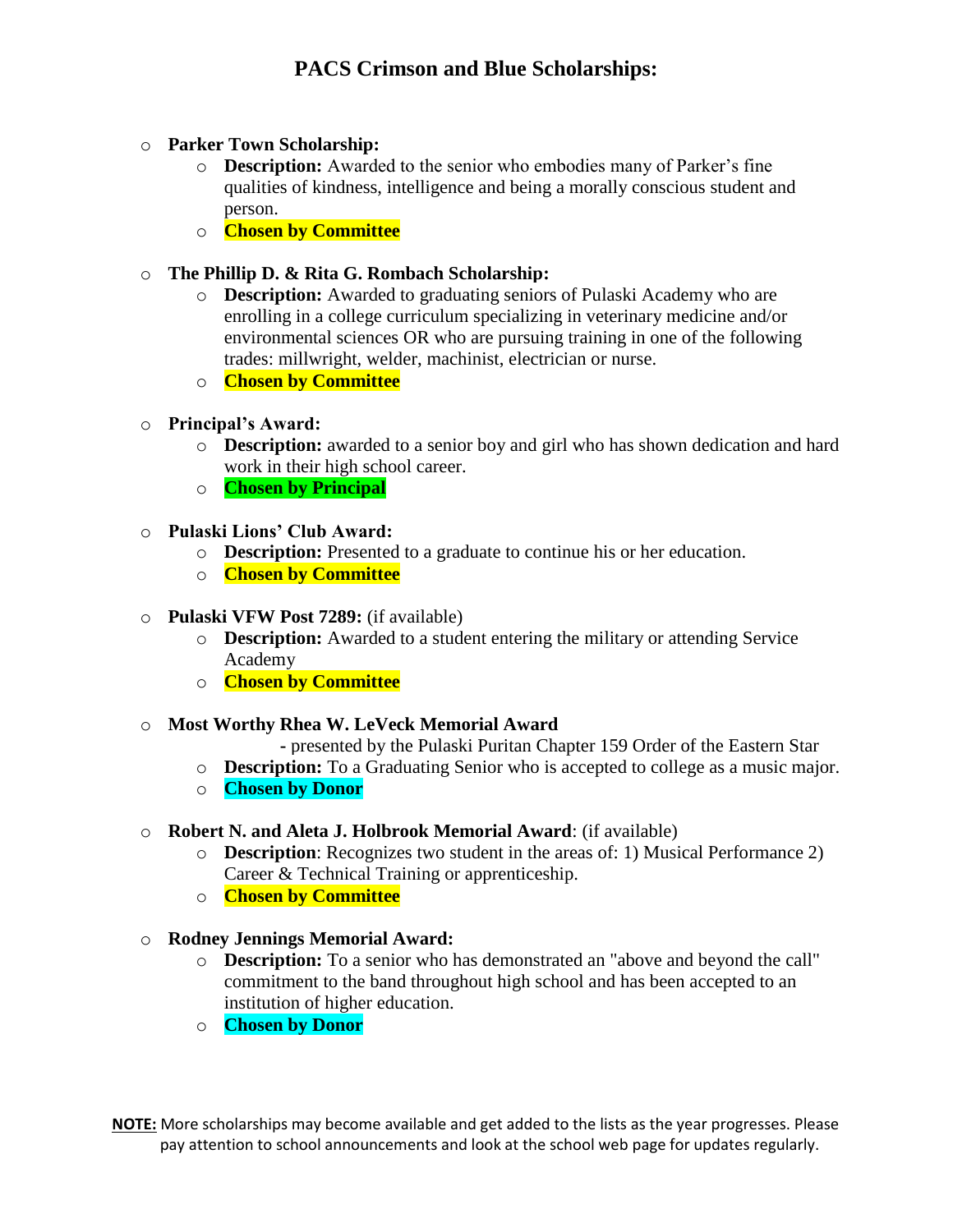# o **Parker Town Scholarship:**

- o **Description:** Awarded to the senior who embodies many of Parker's fine qualities of kindness, intelligence and being a morally conscious student and person.
- o **Chosen by Committee**

# o **The Phillip D. & Rita G. Rombach Scholarship:**

- o **Description:** Awarded to graduating seniors of Pulaski Academy who are enrolling in a college curriculum specializing in veterinary medicine and/or environmental sciences OR who are pursuing training in one of the following trades: millwright, welder, machinist, electrician or nurse.
- o **Chosen by Committee**

# o **Principal's Award:**

- o **Description:** awarded to a senior boy and girl who has shown dedication and hard work in their high school career.
- o **Chosen by Principal**

## o **Pulaski Lions' Club Award:**

- o **Description:** Presented to a graduate to continue his or her education.
- o **Chosen by Committee**

# o **Pulaski VFW Post 7289:** (if available)

- o **Description:** Awarded to a student entering the military or attending Service Academy
- o **Chosen by Committee**

## o **Most Worthy Rhea W. LeVeck Memorial Award**

**-** presented by the Pulaski Puritan Chapter 159 Order of the Eastern Star

- o **Description:** To a Graduating Senior who is accepted to college as a music major.
- o **Chosen by Donor**

## o **Robert N. and Aleta J. Holbrook Memorial Award**: (if available)

- o **Description**: Recognizes two student in the areas of: 1) Musical Performance 2) Career & Technical Training or apprenticeship.
- o **Chosen by Committee**
- o **Rodney Jennings Memorial Award:** 
	- o **Description:** To a senior who has demonstrated an "above and beyond the call" commitment to the band throughout high school and has been accepted to an institution of higher education.
	- o **Chosen by Donor**